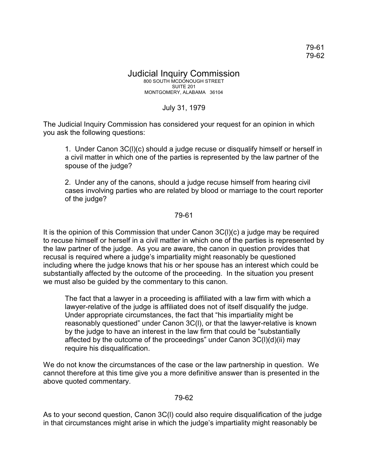## Judicial Inquiry Commission 800 SOUTH MCDONOUGH STREET SUITE 201 MONTGOMERY, ALABAMA 36104

## July 31, 1979

The Judicial Inquiry Commission has considered your request for an opinion in which you ask the following questions:

1. Under Canon 3C(l)(c) should a judge recuse or disqualify himself or herself in a civil matter in which one of the parties is represented by the law partner of the spouse of the judge?

2. Under any of the canons, should a judge recuse himself from hearing civil cases involving parties who are related by blood or marriage to the court reporter of the judge?

## 79-61

It is the opinion of this Commission that under Canon 3C(l)(c) a judge may be required to recuse himself or herself in a civil matter in which one of the parties is represented by the law partner of the judge. As you are aware, the canon in question provides that recusal is required where a judge's impartiality might reasonably be questioned including where the judge knows that his or her spouse has an interest which could be substantially affected by the outcome of the proceeding. In the situation you present we must also be guided by the commentary to this canon.

The fact that a lawyer in a proceeding is affiliated with a law firm with which a lawyer-relative of the judge is affiliated does not of itself disqualify the judge. Under appropriate circumstances, the fact that "his impartiality might be reasonably questioned" under Canon 3C(l), or that the lawyer-relative is known by the judge to have an interest in the law firm that could be "substantially affected by the outcome of the proceedings" under Canon 3C(l)(d)(ii) may require his disqualification.

We do not know the circumstances of the case or the law partnership in question. We cannot therefore at this time give you a more definitive answer than is presented in the above quoted commentary.

## 79-62

As to your second question, Canon 3C(l) could also require disqualification of the judge in that circumstances might arise in which the judge's impartiality might reasonably be